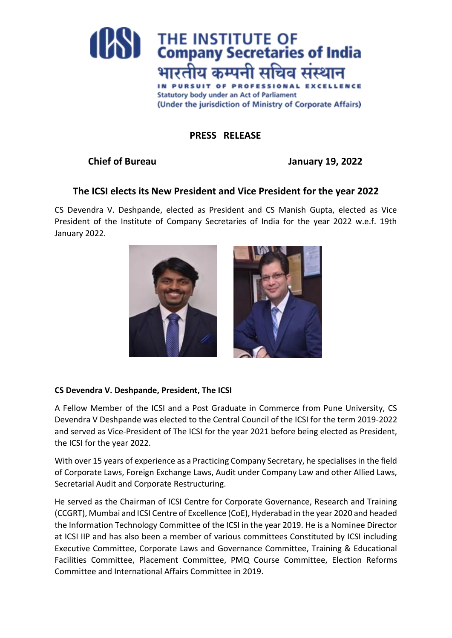

# **PRESS RELEASE**

## **Chief of Bureau January 19, 2022**

## **The ICSI elects its New President and Vice President for the year 2022**

CS Devendra V. Deshpande, elected as President and CS Manish Gupta, elected as Vice President of the Institute of Company Secretaries of India for the year 2022 w.e.f. 19th January 2022.



#### **CS Devendra V. Deshpande, President, The ICSI**

A Fellow Member of the ICSI and a Post Graduate in Commerce from Pune University, CS Devendra V Deshpande was elected to the Central Council of the ICSI for the term 2019-2022 and served as Vice-President of The ICSI for the year 2021 before being elected as President, the ICSI for the year 2022.

With over 15 years of experience as a Practicing Company Secretary, he specialises in the field of Corporate Laws, Foreign Exchange Laws, Audit under Company Law and other Allied Laws, Secretarial Audit and Corporate Restructuring.

He served as the Chairman of ICSI Centre for Corporate Governance, Research and Training (CCGRT), Mumbai and ICSI Centre of Excellence (CoE), Hyderabad in the year 2020 and headed the Information Technology Committee of the ICSI in the year 2019. He is a Nominee Director at ICSI IIP and has also been a member of various committees Constituted by ICSI including Executive Committee, Corporate Laws and Governance Committee, Training & Educational Facilities Committee, Placement Committee, PMQ Course Committee, Election Reforms Committee and International Affairs Committee in 2019.